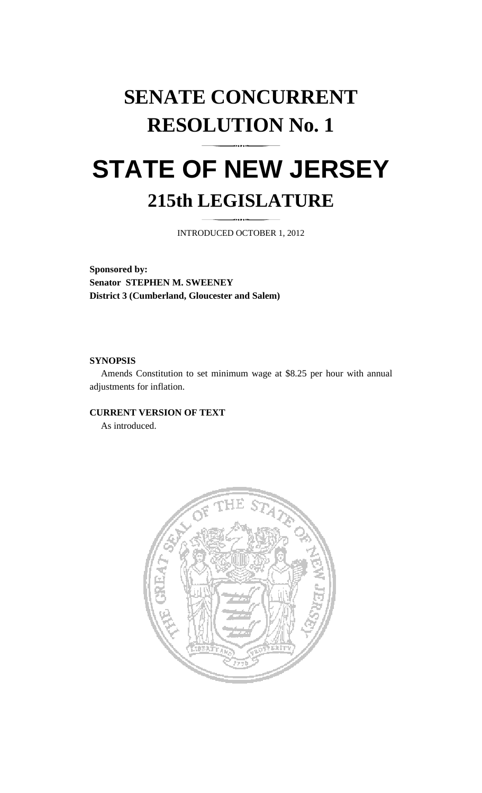# **SENATE CONCURRENT RESOLUTION No. 1**

## **STATE OF NEW JERSEY 215th LEGISLATURE**

INTRODUCED OCTOBER 1, 2012

**Sponsored by: Senator STEPHEN M. SWEENEY District 3 (Cumberland, Gloucester and Salem)** 

#### **SYNOPSIS**

 Amends Constitution to set minimum wage at \$8.25 per hour with annual adjustments for inflation.

#### **CURRENT VERSION OF TEXT**

As introduced.

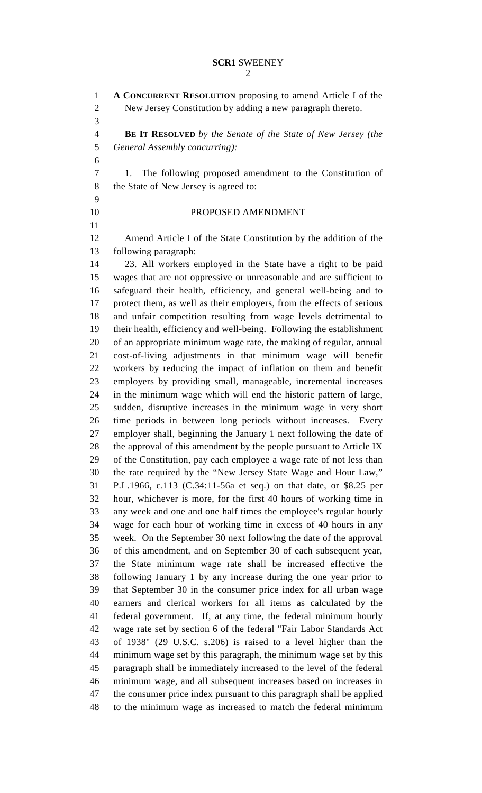2

1 **A CONCURRENT RESOLUTION** proposing to amend Article I of the 2 New Jersey Constitution by adding a new paragraph thereto. 3 4 **BE IT RESOLVED** *by the Senate of the State of New Jersey (the*  5 *General Assembly concurring):* 6 7 1. The following proposed amendment to the Constitution of 8 the State of New Jersey is agreed to: 9 10 PROPOSED AMENDMENT 11 12 Amend Article I of the State Constitution by the addition of the 13 following paragraph: 14 23. All workers employed in the State have a right to be paid 15 wages that are not oppressive or unreasonable and are sufficient to 16 safeguard their health, efficiency, and general well-being and to 17 protect them, as well as their employers, from the effects of serious 18 and unfair competition resulting from wage levels detrimental to 19 their health, efficiency and well-being. Following the establishment 20 of an appropriate minimum wage rate, the making of regular, annual 21 cost-of-living adjustments in that minimum wage will benefit 22 workers by reducing the impact of inflation on them and benefit 23 employers by providing small, manageable, incremental increases 24 in the minimum wage which will end the historic pattern of large, 25 sudden, disruptive increases in the minimum wage in very short 26 time periods in between long periods without increases. Every 27 employer shall, beginning the January 1 next following the date of 28 the approval of this amendment by the people pursuant to Article IX 29 of the Constitution, pay each employee a wage rate of not less than 30 the rate required by the "New Jersey State Wage and Hour Law," 31 P.L.1966, c.113 (C.34:11-56a et seq.) on that date, or \$8.25 per 32 hour, whichever is more, for the first 40 hours of working time in 33 any week and one and one half times the employee's regular hourly 34 wage for each hour of working time in excess of 40 hours in any 35 week. On the September 30 next following the date of the approval 36 of this amendment, and on September 30 of each subsequent year, 37 the State minimum wage rate shall be increased effective the 38 following January 1 by any increase during the one year prior to 39 that September 30 in the consumer price index for all urban wage 40 earners and clerical workers for all items as calculated by the 41 federal government. If, at any time, the federal minimum hourly 42 wage rate set by section 6 of the federal "Fair Labor Standards Act 43 of 1938" (29 U.S.C. s.206) is raised to a level higher than the 44 minimum wage set by this paragraph, the minimum wage set by this 45 paragraph shall be immediately increased to the level of the federal 46 minimum wage, and all subsequent increases based on increases in 47 the consumer price index pursuant to this paragraph shall be applied 48 to the minimum wage as increased to match the federal minimum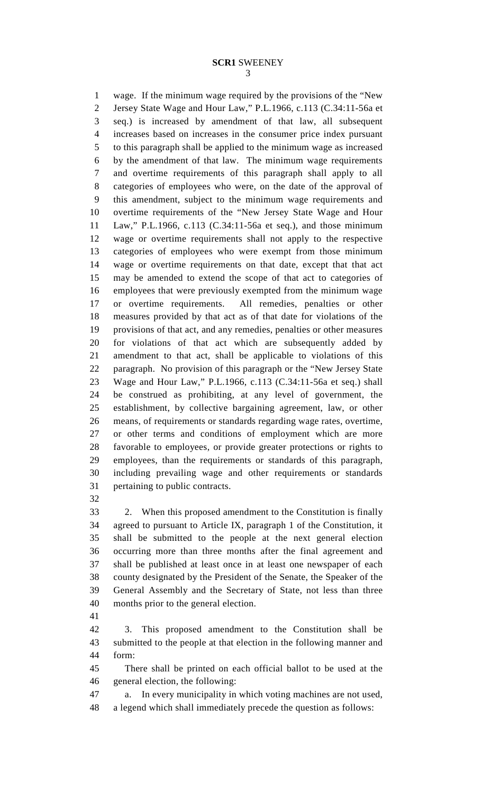3

1 wage. If the minimum wage required by the provisions of the "New 2 Jersey State Wage and Hour Law," P.L.1966, c.113 (C.34:11-56a et 3 seq.) is increased by amendment of that law, all subsequent 4 increases based on increases in the consumer price index pursuant 5 to this paragraph shall be applied to the minimum wage as increased 6 by the amendment of that law. The minimum wage requirements 7 and overtime requirements of this paragraph shall apply to all 8 categories of employees who were, on the date of the approval of 9 this amendment, subject to the minimum wage requirements and 10 overtime requirements of the "New Jersey State Wage and Hour 11 Law," P.L.1966, c.113 (C.34:11-56a et seq.), and those minimum 12 wage or overtime requirements shall not apply to the respective 13 categories of employees who were exempt from those minimum 14 wage or overtime requirements on that date, except that that act 15 may be amended to extend the scope of that act to categories of 16 employees that were previously exempted from the minimum wage 17 or overtime requirements. All remedies, penalties or other 18 measures provided by that act as of that date for violations of the 19 provisions of that act, and any remedies, penalties or other measures 20 for violations of that act which are subsequently added by 21 amendment to that act, shall be applicable to violations of this 22 paragraph. No provision of this paragraph or the "New Jersey State 23 Wage and Hour Law," P.L.1966, c.113 (C.34:11-56a et seq.) shall 24 be construed as prohibiting, at any level of government, the 25 establishment, by collective bargaining agreement, law, or other 26 means, of requirements or standards regarding wage rates, overtime, 27 or other terms and conditions of employment which are more 28 favorable to employees, or provide greater protections or rights to 29 employees, than the requirements or standards of this paragraph, 30 including prevailing wage and other requirements or standards 31 pertaining to public contracts.

32

33 2. When this proposed amendment to the Constitution is finally 34 agreed to pursuant to Article IX, paragraph 1 of the Constitution, it 35 shall be submitted to the people at the next general election 36 occurring more than three months after the final agreement and 37 shall be published at least once in at least one newspaper of each 38 county designated by the President of the Senate, the Speaker of the 39 General Assembly and the Secretary of State, not less than three 40 months prior to the general election.

41

42 3. This proposed amendment to the Constitution shall be 43 submitted to the people at that election in the following manner and 44 form:

45 There shall be printed on each official ballot to be used at the 46 general election, the following:

47 a. In every municipality in which voting machines are not used, 48 a legend which shall immediately precede the question as follows: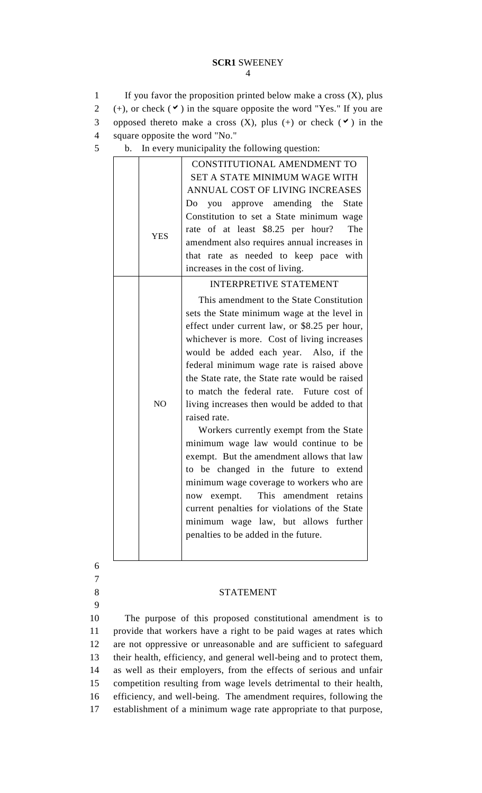#### **SCR1** SWEENEY 4

1 If you favor the proposition printed below make a cross (X), plus 2 (+), or check  $(\vee)$  in the square opposite the word "Yes." If you are 3 opposed thereto make a cross  $(X)$ , plus  $(+)$  or check  $(')$  in the 4 square opposite the word "No."

5 b. In every municipality the following question:

|                | CONSTITUTIONAL AMENDMENT TO                    |
|----------------|------------------------------------------------|
|                | SET A STATE MINIMUM WAGE WITH                  |
|                | ANNUAL COST OF LIVING INCREASES                |
| <b>YES</b>     | you approve amending the State<br>Do           |
|                | Constitution to set a State minimum wage       |
|                | rate of at least \$8.25 per hour?<br>The       |
|                | amendment also requires annual increases in    |
|                | that rate as needed to keep pace with          |
|                | increases in the cost of living.               |
|                | <b>INTERPRETIVE STATEMENT</b>                  |
| N <sub>O</sub> | This amendment to the State Constitution       |
|                | sets the State minimum wage at the level in    |
|                | effect under current law, or \$8.25 per hour,  |
|                | whichever is more. Cost of living increases    |
|                | would be added each year. Also, if the         |
|                | federal minimum wage rate is raised above      |
|                | the State rate, the State rate would be raised |
|                | to match the federal rate. Future cost of      |
|                | living increases then would be added to that   |
|                | raised rate.                                   |
|                | Workers currently exempt from the State        |
|                | minimum wage law would continue to be          |
|                | exempt. But the amendment allows that law      |
|                | to be changed in the future to extend          |
|                | minimum wage coverage to workers who are       |
|                | This amendment retains<br>now exempt.          |
|                | current penalties for violations of the State  |
|                | minimum wage law, but allows further           |
|                | penalties to be added in the future.           |
|                |                                                |
|                |                                                |
|                |                                                |

6 7

9

### 8 STATEMENT

10 The purpose of this proposed constitutional amendment is to 11 provide that workers have a right to be paid wages at rates which 12 are not oppressive or unreasonable and are sufficient to safeguard 13 their health, efficiency, and general well-being and to protect them, 14 as well as their employers, from the effects of serious and unfair 15 competition resulting from wage levels detrimental to their health, 16 efficiency, and well-being. The amendment requires, following the 17 establishment of a minimum wage rate appropriate to that purpose,